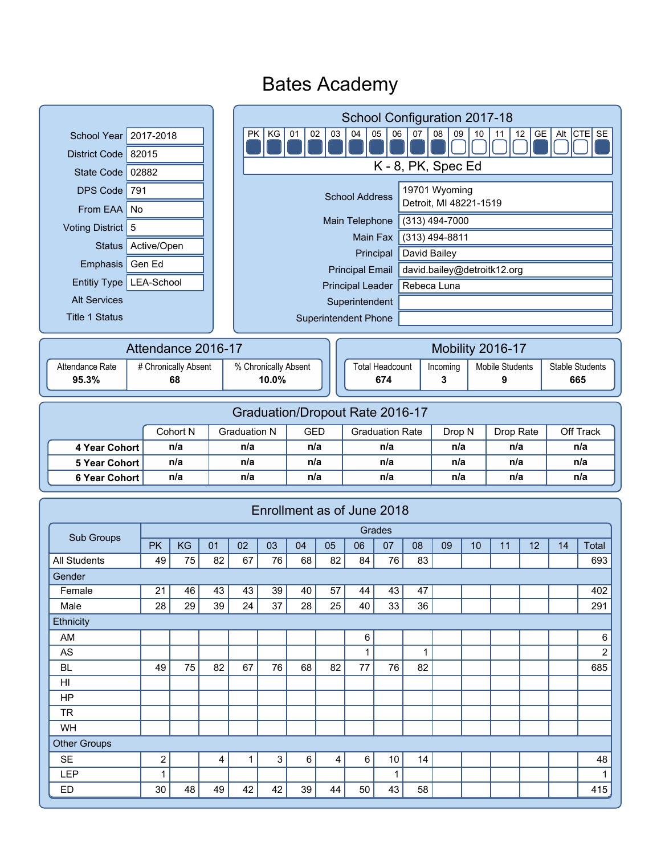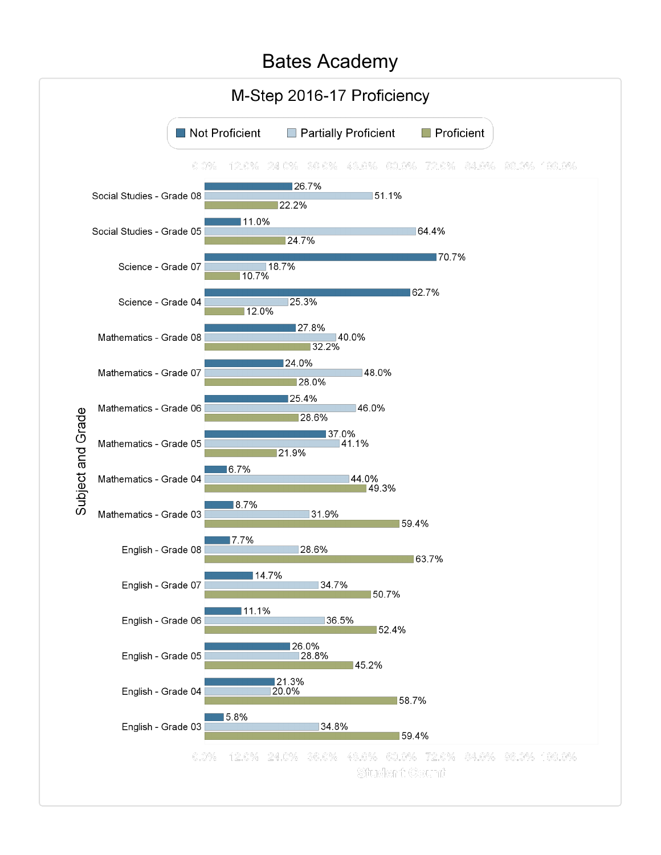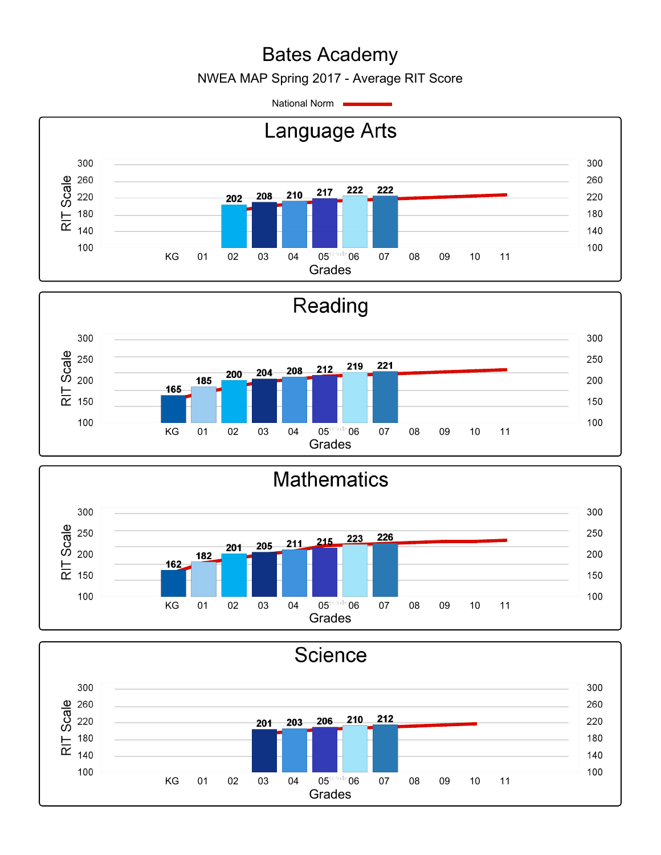NWEA MAP Spring 2017 - Average RIT Score

National Norm